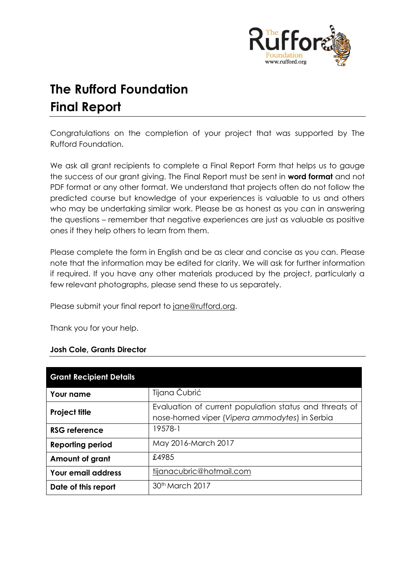

# **The Rufford Foundation Final Report**

Congratulations on the completion of your project that was supported by The Rufford Foundation.

We ask all grant recipients to complete a Final Report Form that helps us to gauge the success of our grant giving. The Final Report must be sent in **word format** and not PDF format or any other format. We understand that projects often do not follow the predicted course but knowledge of your experiences is valuable to us and others who may be undertaking similar work. Please be as honest as you can in answering the questions – remember that negative experiences are just as valuable as positive ones if they help others to learn from them.

Please complete the form in English and be as clear and concise as you can. Please note that the information may be edited for clarity. We will ask for further information if required. If you have any other materials produced by the project, particularly a few relevant photographs, please send these to us separately.

Please submit your final report to [jane@rufford.org.](mailto:jane@rufford.org)

Thank you for your help.

#### **Josh Cole, Grants Director**

| <b>Grant Recipient Details</b> |                                                                                                          |
|--------------------------------|----------------------------------------------------------------------------------------------------------|
| Your name                      | Tijana Čubrić                                                                                            |
| <b>Project title</b>           | Evaluation of current population status and threats of<br>nose-horned viper (Vipera ammodytes) in Serbia |
| RSG reference                  | 19578-1                                                                                                  |
| <b>Reporting period</b>        | May 2016-March 2017                                                                                      |
| Amount of grant                | £4985                                                                                                    |
| <b>Your email address</b>      | tijanacubric@hotmail.com                                                                                 |
| Date of this report            | 30 <sup>th</sup> March 2017                                                                              |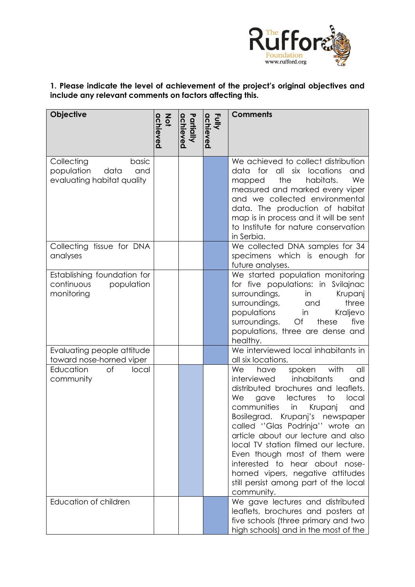

# **1. Please indicate the level of achievement of the project's original objectives and include any relevant comments on factors affecting this.**

| Objective                                                                      | achieved<br>Not | Partially<br>achieved | Fully<br>achieved | <b>Comments</b>                                                                                                                                                                                                                                                                                                                                                                                                                                                                                                       |
|--------------------------------------------------------------------------------|-----------------|-----------------------|-------------------|-----------------------------------------------------------------------------------------------------------------------------------------------------------------------------------------------------------------------------------------------------------------------------------------------------------------------------------------------------------------------------------------------------------------------------------------------------------------------------------------------------------------------|
| basic<br>Collecting<br>data<br>population<br>and<br>evaluating habitat quality |                 |                       |                   | We achieved to collect distribution<br>data for all six locations<br>and<br>the<br>habitats.<br>We<br>mapped<br>measured and marked every viper<br>and we collected environmental<br>data. The production of habitat<br>map is in process and it will be sent<br>to Institute for nature conservation<br>in Serbia.                                                                                                                                                                                                   |
| Collecting tissue for DNA<br>analyses                                          |                 |                       |                   | We collected DNA samples for 34<br>specimens which is enough for<br>future analyses.                                                                                                                                                                                                                                                                                                                                                                                                                                  |
| Establishing foundation for<br>continuous<br>population<br>monitoring          |                 |                       |                   | We started population monitoring<br>for five populations: in Svilajnac<br>surroundings,<br>in<br>Krupanj<br>three<br>surroundings,<br>and<br>populations<br>Kraljevo<br>in<br>these<br>five<br>surroundings.<br>$\mathsf{O} \mathsf{f}$<br>populations, three are dense and<br>healthy.                                                                                                                                                                                                                               |
| Evaluating people attitude<br>toward nose-horned viper                         |                 |                       |                   | We interviewed local inhabitants in<br>all six locations.                                                                                                                                                                                                                                                                                                                                                                                                                                                             |
| Education<br>of<br>local<br>community                                          |                 |                       |                   | with<br>We<br>have<br>spoken<br>all<br>interviewed<br>inhabitants<br>and<br>distributed brochures and leaflets.<br>lectures<br>We<br>to<br>gave<br>local<br>communities<br>Krupanj<br>in<br>and<br>Bosilegrad.<br>Krupanj's newspaper<br>called "Glas Podrinja" wrote an<br>article about our lecture and also<br>local TV station filmed our lecture.<br>Even though most of them were<br>interested to hear about nose-<br>horned vipers, negative attitudes<br>still persist among part of the local<br>community. |
| Education of children                                                          |                 |                       |                   | We gave lectures and distributed<br>leaflets, brochures and posters at<br>five schools (three primary and two<br>high schools) and in the most of the                                                                                                                                                                                                                                                                                                                                                                 |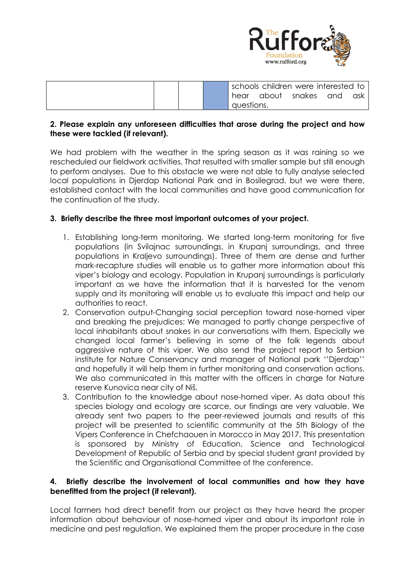

|  |  |            |       | schools children were interested to |     |     |
|--|--|------------|-------|-------------------------------------|-----|-----|
|  |  | hear       | about | snakes                              | and | ask |
|  |  | questions. |       |                                     |     |     |

## **2. Please explain any unforeseen difficulties that arose during the project and how these were tackled (if relevant).**

We had problem with the weather in the spring season as it was raining so we rescheduled our fieldwork activities. That resulted with smaller sample but still enough to perform analyses. Due to this obstacle we were not able to fully analyse selected local populations in Djerdap National Park and in Bosilegrad, but we were there, established contact with the local communities and have good communication for the continuation of the study.

# **3. Briefly describe the three most important outcomes of your project.**

- 1. Establishing long-term monitoring. We started long-term monitoring for five populations (in Svilajnac surroundings, in Krupanj surroundings, and three populations in Kraljevo surroundings). Three of them are dense and further mark-recapture studies will enable us to gather more information about this viper's biology and ecology. Population in Krupanj surroundings is particularly important as we have the information that it is harvested for the venom supply and its monitoring will enable us to evaluate this impact and help our authorities to react.
- 2. Conservation output-Changing social perception toward nose-horned viper and breaking the prejudices: We managed to partly change perspective of local inhabitants about snakes in our conversations with them. Especially we changed local farmer's believing in some of the folk legends about aggressive nature of this viper. We also send the project report to Serbian institute for Nature Conservancy and manager of National park ''Djerdap'' and hopefully it will help them in further monitoring and conservation actions. We also communicated in this matter with the officers in charge for Nature reserve Kunovica near city of Niš.
- 3. Contribution to the knowledge about nose-horned viper. As data about this species biology and ecology are scarce, our findings are very valuable. We already sent two papers to the peer-reviewed journals and results of this project will be presented to scientific community at the 5th Biology of the Vipers Conference in Chefchaouen in Morocco in May 2017. This presentation is sponsored by Ministry of Education, Science and Technological Development of Republic of Serbia and by special student grant provided by the Scientific and Organisational Committee of the conference.

# **4. Briefly describe the involvement of local communities and how they have benefitted from the project (if relevant).**

Local farmers had direct benefit from our project as they have heard the proper information about behaviour of nose-horned viper and about its important role in medicine and pest regulation. We explained them the proper procedure in the case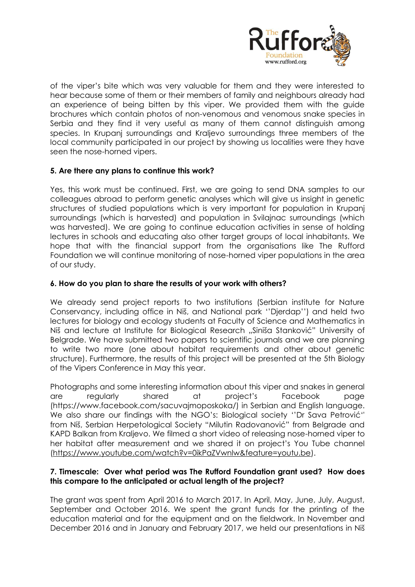

of the viper's bite which was very valuable for them and they were interested to hear because some of them or their members of family and neighbours already had an experience of being bitten by this viper. We provided them with the guide brochures which contain photos of non-venomous and venomous snake species in Serbia and they find it very useful as many of them cannot distinguish among species. In Krupanj surroundings and Kraljevo surroundings three members of the local community participated in our project by showing us localities were they have seen the nose-horned vipers.

# **5. Are there any plans to continue this work?**

Yes, this work must be continued. First, we are going to send DNA samples to our colleagues abroad to perform genetic analyses which will give us insight in genetic structures of studied populations which is very important for population in Krupanj surroundings (which is harvested) and population in Svilajnac surroundings (which was harvested). We are going to continue education activities in sense of holding lectures in schools and educating also other target groups of local inhabitants. We hope that with the financial support from the organisations like The Rufford Foundation we will continue monitoring of nose-horned viper populations in the area of our study.

## **6. How do you plan to share the results of your work with others?**

We already send project reports to two institutions (Serbian institute for Nature Conservancy, including office in Niš, and National park ''Djerdap'') and held two lectures for biology and ecology students at Faculty of Science and Mathematics in Niš and lecture at Institute for Biological Research "Siniša Stanković" University of Belgrade. We have submitted two papers to scientific journals and we are planning to write two more (one about habitat requirements and other about genetic structure). Furthermore, the results of this project will be presented at the 5th Biology of the Vipers Conference in May this year.

Photographs and some interesting information about this viper and snakes in general are regularly shared at project's Facebook page (https://www.facebook.com/sacuvajmoposkoka/) in Serbian and English language. We also share our findings with the NGO's: Biological society ''Dr Sava Petrović'' from Niš, Serbian Herpetological Society "Milutin Radovanović" from Belgrade and KAPD Balkan from Kraljevo. We filmed a short video of releasing nose-horned viper to her habitat after measurement and we shared it on project's You Tube channel [\(https://www.youtube.com/watch?v=0ikPaZVwnlw&feature=youtu.be\)](https://www.youtube.com/watch?v=0ikPaZVwnlw&feature=youtu.be).

#### **7. Timescale: Over what period was The Rufford Foundation grant used? How does this compare to the anticipated or actual length of the project?**

The grant was spent from April 2016 to March 2017. In April, May, June, July, August, September and October 2016. We spent the grant funds for the printing of the education material and for the equipment and on the fieldwork. In November and December 2016 and in January and February 2017, we held our presentations in Niš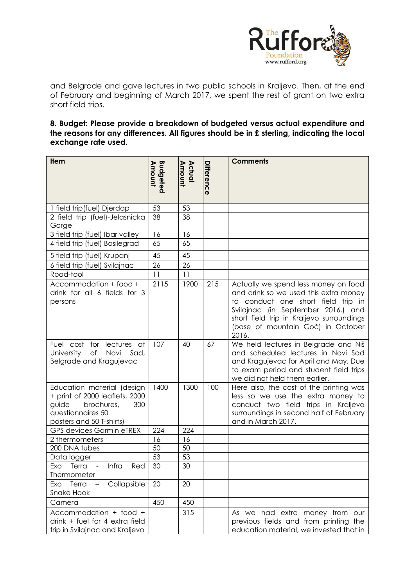

and Belgrade and gave lectures in two public schools in Kraljevo. Then, at the end of February and beginning of March 2017, we spent the rest of grant on two extra short field trips.

**8. Budget: Please provide a breakdown of budgeted versus actual expenditure and the reasons for any differences. All figures should be in £ sterling, indicating the local exchange rate used.** 

| Item                                                                                                                                        | <b>Budgeted</b><br><b>Amount</b> | Actual<br>Amount | Difference | <b>Comments</b>                                                                                                                                                                                                                                      |
|---------------------------------------------------------------------------------------------------------------------------------------------|----------------------------------|------------------|------------|------------------------------------------------------------------------------------------------------------------------------------------------------------------------------------------------------------------------------------------------------|
| 1 field trip(fuel) Djerdap                                                                                                                  | 53                               | 53               |            |                                                                                                                                                                                                                                                      |
| 2 field trip (fuel)-Jelasnicka<br>Gorge                                                                                                     | 38                               | 38               |            |                                                                                                                                                                                                                                                      |
| 3 field trip (fuel) Ibar valley                                                                                                             | 16                               | 16               |            |                                                                                                                                                                                                                                                      |
| 4 field trip (fuel) Bosilegrad                                                                                                              | 65                               | 65               |            |                                                                                                                                                                                                                                                      |
| 5 field trip (fuel) Krupanj                                                                                                                 | 45                               | 45               |            |                                                                                                                                                                                                                                                      |
| 6 field trip (fuel) Svilajnac                                                                                                               | 26                               | 26               |            |                                                                                                                                                                                                                                                      |
| Road-tool                                                                                                                                   | 11                               | 11               |            |                                                                                                                                                                                                                                                      |
| Accommodation + food +<br>drink for all 6 fields for 3<br>persons                                                                           | 2115                             | 1900             | 215        | Actually we spend less money on food<br>and drink so we used this extra money<br>to conduct one short field trip in<br>Svilajnac (in September 2016.) and<br>short field trip in Kraljevo surroundings<br>(base of mountain Goč) in October<br>2016. |
| for<br>Fuel cost<br>lectures at<br>University<br>Novi<br>Оf<br>Sad,<br>Belgrade and Kragujevac                                              | 107                              | 40               | 67         | We held lectures in Belgrade and Niš<br>and scheduled lectures in Novi Sad<br>and Kragujevac for April and May. Due<br>to exam period and student field trips<br>we did not held them earlier.                                                       |
| Education material (design<br>+ print of 2000 leaflets, 2000<br>guide<br>brochures,<br>300<br>questionnaires 50<br>posters and 50 T-shirts) | 1400                             | 1300             | 100        | Here also, the cost of the printing was<br>less so we use the extra money to<br>conduct two field trips in Kraljevo<br>surroundings in second half of February<br>and in March 2017.                                                                 |
| <b>GPS devices Garmin eTREX</b>                                                                                                             | 224                              | 224              |            |                                                                                                                                                                                                                                                      |
| 2 thermometers                                                                                                                              | 16                               | 16               |            |                                                                                                                                                                                                                                                      |
| 200 DNA tubes                                                                                                                               | 50                               | 50               |            |                                                                                                                                                                                                                                                      |
| Data logger<br>Exo Terra - Infra<br>Red                                                                                                     | 53<br>30                         | 53<br>30         |            |                                                                                                                                                                                                                                                      |
| Thermometer                                                                                                                                 |                                  |                  |            |                                                                                                                                                                                                                                                      |
| Collapsible<br>Exo Terra<br>$\overline{\phantom{0}}$<br>Snake Hook                                                                          | 20                               | 20               |            |                                                                                                                                                                                                                                                      |
| Camera                                                                                                                                      | 450                              | 450              |            |                                                                                                                                                                                                                                                      |
| Accommodation + food +<br>drink + fuel for 4 extra field<br>trip in Svilajnac and Kraljevo                                                  |                                  | 315              |            | As we had extra money from our<br>previous fields and from printing the<br>education material, we invested that in                                                                                                                                   |